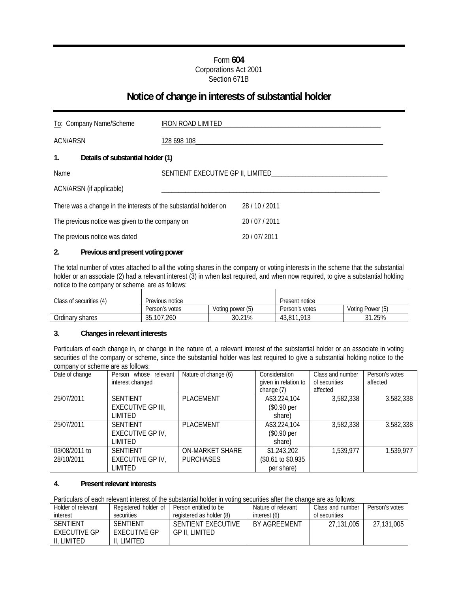## Form **604** Corporations Act 2001 Section 671B

# **Notice of change in interests of substantial holder**

| To: Company Name/Scheme                                          | IRON ROAD LIMITED                 |                |
|------------------------------------------------------------------|-----------------------------------|----------------|
| <b>ACN/ARSN</b>                                                  | 128 698 108                       |                |
| $\mathbf{1}$ .<br>Details of substantial holder (1)              |                                   |                |
| Name                                                             | SENTIENT EXECUTIVE GP II, LIMITED |                |
| ACN/ARSN (if applicable)                                         |                                   |                |
| There was a change in the interests of the substantial holder on |                                   | 28 / 10 / 2011 |
| The previous notice was given to the company on                  |                                   | 20 / 07 / 2011 |
| The previous notice was dated                                    |                                   | 20 / 07 / 2011 |

### **2. Previous and present voting power**

The total number of votes attached to all the voting shares in the company or voting interests in the scheme that the substantial holder or an associate (2) had a relevant interest (3) in when last required, and when now required, to give a substantial holding notice to the company or scheme, are as follows:

| Class of securities (4) | Previous notice |                  | Present notice |                  |  |
|-------------------------|-----------------|------------------|----------------|------------------|--|
|                         | Person's votes  | Voting power (5) | Person's votes | Voting Power (5) |  |
| Ordinary shares         | 35,107,260      | 30.21%           | 43.811.913     | 31.25%           |  |

#### **3. Changes in relevant interests**

Particulars of each change in, or change in the nature of, a relevant interest of the substantial holder or an associate in voting securities of the company or scheme, since the substantial holder was last required to give a substantial holding notice to the company or scheme are as follows:

| Date of change | Person whose relevant   | Nature of change (6)   | Consideration        | Class and number | Person's votes |
|----------------|-------------------------|------------------------|----------------------|------------------|----------------|
|                | interest changed        |                        | given in relation to | of securities    | affected       |
|                |                         |                        | change $(7)$         | affected         |                |
| 25/07/2011     | <b>SENTIENT</b>         | PLACEMENT              | A\$3,224,104         | 3,582,338        | 3,582,338      |
|                | EXECUTIVE GP III,       |                        | (\$0.90 per          |                  |                |
|                | LIMITED                 |                        | share)               |                  |                |
| 25/07/2011     | <b>SENTIENT</b>         | <b>PLACEMENT</b>       | A\$3,224,104         | 3,582,338        | 3,582,338      |
|                | <b>EXECUTIVE GP IV.</b> |                        | (\$0.90 per          |                  |                |
|                | LIMITED                 |                        | share)               |                  |                |
| 03/08/2011 to  | <b>SENTIENT</b>         | <b>ON-MARKET SHARE</b> | \$1,243,202          | 1,539,977        | 1,539,977      |
| 28/10/2011     | <b>EXECUTIVE GP IV,</b> | <b>PURCHASES</b>       | (\$0.61 to \$0.935)  |                  |                |
|                | LIMITED                 |                        | per share)           |                  |                |

#### **4. Present relevant interests**

Particulars of each relevant interest of the substantial holder in voting securities after the change are as follows:

| Holder of relevant  | Registered holder of | Person entitled to be    | Nature of relevant | Class and number | Person's votes |
|---------------------|----------------------|--------------------------|--------------------|------------------|----------------|
| interest            | securities           | registered as holder (8) | interest (6)       | of securities    |                |
| <b>SENTIENT</b>     | <b>SENTIENT</b>      | SENTIENT EXECUTIVE       | BY AGREEMENT       | 27.131.005       | 27.131.005     |
| <b>EXECUTIVE GP</b> | <b>EXECUTIVE GP</b>  | GP II. LIMITED           |                    |                  |                |
| ∟IMITED⊣            | LIMITED              |                          |                    |                  |                |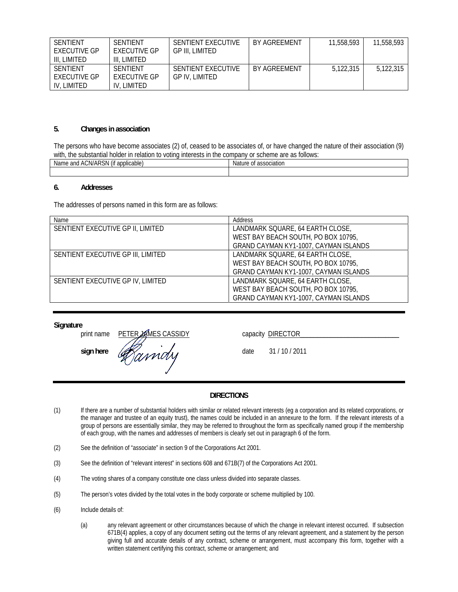| SENTIENT<br><b>FXFCUTIVE GP</b><br>III, LIMITED | SENTIENT<br><b>EXECUTIVE GP</b><br>III. LIMITED | SENTIENT EXECUTIVE<br>GP III. LIMITED | BY AGREEMENT | 11,558,593 | 11,558,593 |
|-------------------------------------------------|-------------------------------------------------|---------------------------------------|--------------|------------|------------|
| SENTIENT<br><b>FXFCUTIVE GP</b><br>IV, LIMITED  | SENTIENT<br><b>EXECUTIVE GP</b><br>IV, LIMITED  | SENTIENT EXECUTIVE<br>GP IV. LIMITED  | BY AGREEMENT | 5.122.315  | 5.122.315  |

#### **5. Changes in association**

The persons who have become associates (2) of, ceased to be associates of, or have changed the nature of their association (9) with, the substantial holder in relation to voting interests in the company or scheme are as follows:

| $ -$<br>$\cdots$<br>. annlicable<br>and<br>Name<br>JN/AF<br>д.<br>٦W<br>applicable. | <b>Nature</b><br>$\sim$<br>sociation<br>Ωt |
|-------------------------------------------------------------------------------------|--------------------------------------------|
|                                                                                     |                                            |

#### **6. Addresses**

The addresses of persons named in this form are as follows:

| Name                               | Address                               |
|------------------------------------|---------------------------------------|
| SENTIENT EXECUTIVE GP II, LIMITED  | LANDMARK SQUARE, 64 EARTH CLOSE,      |
|                                    | WEST BAY BEACH SOUTH, PO BOX 10795,   |
|                                    | GRAND CAYMAN KY1-1007, CAYMAN ISLANDS |
| SENTIENT EXECUTIVE GP III, LIMITED | LANDMARK SQUARE, 64 EARTH CLOSE,      |
|                                    | WEST BAY BEACH SOUTH, PO BOX 10795,   |
|                                    | GRAND CAYMAN KY1-1007, CAYMAN ISLANDS |
| SENTIENT EXECUTIVE GP IV, LIMITED  | LANDMARK SQUARE, 64 EARTH CLOSE,      |
|                                    | WEST BAY BEACH SOUTH, PO BOX 10795,   |
|                                    | GRAND CAYMAN KY1-1007, CAYMAN ISLANDS |

**Signature**

print name PETER AMES CASSIDY capacity DIRECTOR print name<br>sign here *defaindly* date 31/10/2011

#### **DIRECTIONS**

- (1) If there are a number of substantial holders with similar or related relevant interests (eg a corporation and its related corporations, or the manager and trustee of an equity trust), the names could be included in an annexure to the form. If the relevant interests of a group of persons are essentially similar, they may be referred to throughout the form as specifically named group if the membership of each group, with the names and addresses of members is clearly set out in paragraph 6 of the form.
- (2) See the definition of "associate" in section 9 of the Corporations Act 2001.
- (3) See the definition of "relevant interest" in sections 608 and 671B(7) of the Corporations Act 2001.
- (4) The voting shares of a company constitute one class unless divided into separate classes.
- (5) The person's votes divided by the total votes in the body corporate or scheme multiplied by 100.
- (6) Include details of:
	- (a) any relevant agreement or other circumstances because of which the change in relevant interest occurred. If subsection 671B(4) applies, a copy of any document setting out the terms of any relevant agreement, and a statement by the person giving full and accurate details of any contract, scheme or arrangement, must accompany this form, together with a written statement certifying this contract, scheme or arrangement; and